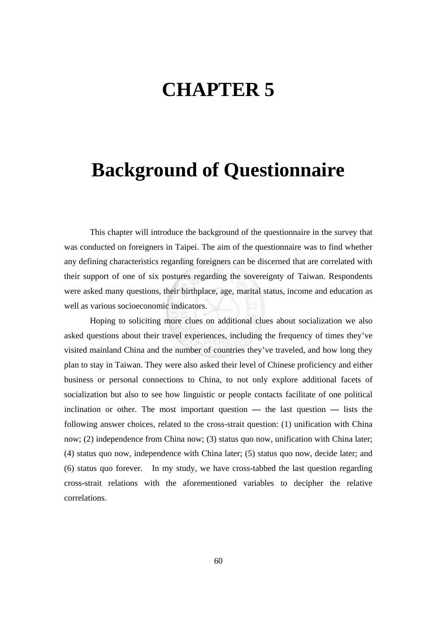## **CHAPTER 5**

## **Background of Questionnaire**

This chapter will introduce the background of the questionnaire in the survey that was conducted on foreigners in Taipei. The aim of the questionnaire was to find whether any defining characteristics regarding foreigners can be discerned that are correlated with their support of one of six postures regarding the sovereignty of Taiwan. Respondents were asked many questions, their birthplace, age, marital status, income and education as well as various socioeconomic indicators.

Hoping to soliciting more clues on additional clues about socialization we also asked questions about their travel experiences, including the frequency of times they've visited mainland China and the number of countries they've traveled, and how long they plan to stay in Taiwan. They were also asked their level of Chinese proficiency and either business or personal connections to China, to not only explore additional facets of socialization but also to see how linguistic or people contacts facilitate of one political inclination or other. The most important question **—** the last question **—** lists the following answer choices, related to the cross-strait question: (1) unification with China now; (2) independence from China now; (3) status quo now, unification with China later; (4) status quo now, independence with China later; (5) status quo now, decide later; and (6) status quo forever. In my study, we have cross-tabbed the last question regarding cross-strait relations with the aforementioned variables to decipher the relative correlations.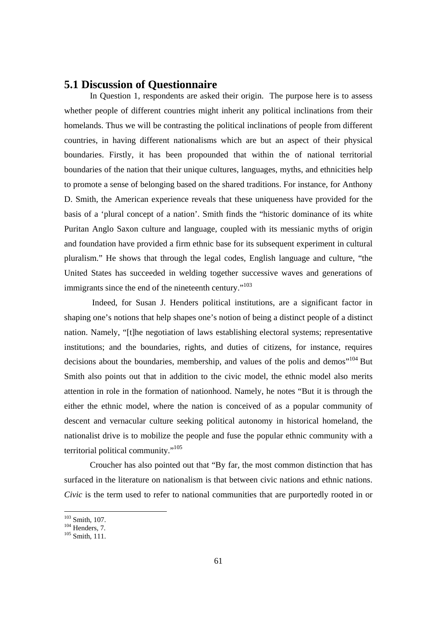## **5.1 Discussion of Questionnaire**

In Question 1, respondents are asked their origin. The purpose here is to assess whether people of different countries might inherit any political inclinations from their homelands. Thus we will be contrasting the political inclinations of people from different countries, in having different nationalisms which are but an aspect of their physical boundaries. Firstly, it has been propounded that within the of national territorial boundaries of the nation that their unique cultures, languages, myths, and ethnicities help to promote a sense of belonging based on the shared traditions. For instance, for Anthony D. Smith, the American experience reveals that these uniqueness have provided for the basis of a 'plural concept of a nation'. Smith finds the "historic dominance of its white Puritan Anglo Saxon culture and language, coupled with its messianic myths of origin and foundation have provided a firm ethnic base for its subsequent experiment in cultural pluralism." He shows that through the legal codes, English language and culture, "the United States has succeeded in welding together successive waves and generations of immigrants since the end of the nineteenth century."<sup>103</sup>

 Indeed, for Susan J. Henders political institutions, are a significant factor in shaping one's notions that help shapes one's notion of being a distinct people of a distinct nation. Namely, "[t]he negotiation of laws establishing electoral systems; representative institutions; and the boundaries, rights, and duties of citizens, for instance, requires decisions about the boundaries, membership, and values of the polis and demos"<sup>104</sup> But Smith also points out that in addition to the civic model, the ethnic model also merits attention in role in the formation of nationhood. Namely, he notes "But it is through the either the ethnic model, where the nation is conceived of as a popular community of descent and vernacular culture seeking political autonomy in historical homeland, the nationalist drive is to mobilize the people and fuse the popular ethnic community with a territorial political community."105

Croucher has also pointed out that "By far, the most common distinction that has surfaced in the literature on nationalism is that between civic nations and ethnic nations. *Civic* is the term used to refer to national communities that are purportedly rooted in or

 $103$  Smith, 107.

 $^{104}$  Henders, 7.<br> $^{105}$  Smith, 111.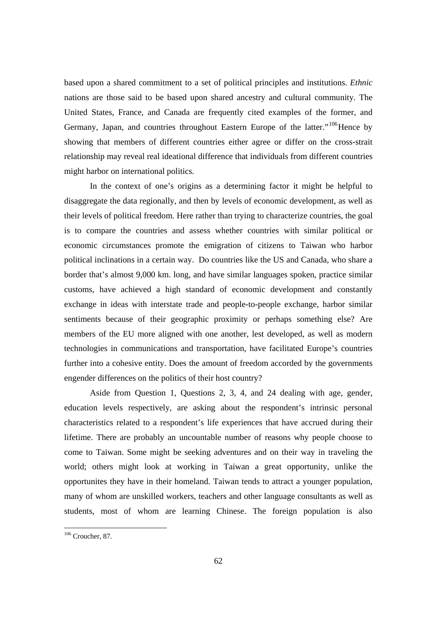based upon a shared commitment to a set of political principles and institutions. *Ethnic*  nations are those said to be based upon shared ancestry and cultural community. The United States, France, and Canada are frequently cited examples of the former, and Germany, Japan, and countries throughout Eastern Europe of the latter."<sup>106</sup>Hence by showing that members of different countries either agree or differ on the cross-strait relationship may reveal real ideational difference that individuals from different countries might harbor on international politics.

In the context of one's origins as a determining factor it might be helpful to disaggregate the data regionally, and then by levels of economic development, as well as their levels of political freedom. Here rather than trying to characterize countries, the goal is to compare the countries and assess whether countries with similar political or economic circumstances promote the emigration of citizens to Taiwan who harbor political inclinations in a certain way. Do countries like the US and Canada, who share a border that's almost 9,000 km. long, and have similar languages spoken, practice similar customs, have achieved a high standard of economic development and constantly exchange in ideas with interstate trade and people-to-people exchange, harbor similar sentiments because of their geographic proximity or perhaps something else? Are members of the EU more aligned with one another, lest developed, as well as modern technologies in communications and transportation, have facilitated Europe's countries further into a cohesive entity. Does the amount of freedom accorded by the governments engender differences on the politics of their host country?

Aside from Question 1, Questions 2, 3, 4, and 24 dealing with age, gender, education levels respectively, are asking about the respondent's intrinsic personal characteristics related to a respondent's life experiences that have accrued during their lifetime. There are probably an uncountable number of reasons why people choose to come to Taiwan. Some might be seeking adventures and on their way in traveling the world; others might look at working in Taiwan a great opportunity, unlike the opportunites they have in their homeland. Taiwan tends to attract a younger population, many of whom are unskilled workers, teachers and other language consultants as well as students, most of whom are learning Chinese. The foreign population is also

<sup>106</sup> Croucher, 87.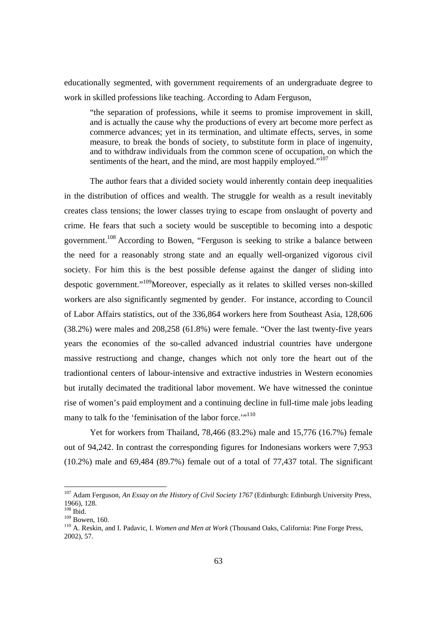educationally segmented, with government requirements of an undergraduate degree to work in skilled professions like teaching. According to Adam Ferguson,

"the separation of professions, while it seems to promise improvement in skill, and is actually the cause why the productions of every art become more perfect as commerce advances; yet in its termination, and ultimate effects, serves, in some measure, to break the bonds of society, to substitute form in place of ingenuity, and to withdraw individuals from the common scene of occupation, on which the sentiments of the heart, and the mind, are most happily employed."<sup>107</sup>

The author fears that a divided society would inherently contain deep inequalities in the distribution of offices and wealth. The struggle for wealth as a result inevitably creates class tensions; the lower classes trying to escape from onslaught of poverty and crime. He fears that such a society would be susceptible to becoming into a despotic government.108 According to Bowen, "Ferguson is seeking to strike a balance between the need for a reasonably strong state and an equally well-organized vigorous civil society. For him this is the best possible defense against the danger of sliding into despotic government."109Moreover, especially as it relates to skilled verses non-skilled workers are also significantly segmented by gender. For instance, according to Council of Labor Affairs statistics, out of the 336,864 workers here from Southeast Asia, 128,606 (38.2%) were males and 208,258 (61.8%) were female. "Over the last twenty-five years years the economies of the so-called advanced industrial countries have undergone massive restructiong and change, changes which not only tore the heart out of the tradiontional centers of labour-intensive and extractive industries in Western economies but irutally decimated the traditional labor movement. We have witnessed the conintue rise of women's paid employment and a continuing decline in full-time male jobs leading many to talk fo the 'feminisation of the labor force.'"<sup>110</sup>

Yet for workers from Thailand, 78,466 (83.2%) male and 15,776 (16.7%) female out of 94,242. In contrast the corresponding figures for Indonesians workers were 7,953 (10.2%) male and 69,484 (89.7%) female out of a total of 77,437 total. The significant

 $\overline{a}$ 

<sup>107</sup> Adam Ferguson, *An Essay on the History of Civil Society 1767* (Edinburgh: Edinburgh University Press, 1966), 128.<br><sup>108</sup> Ibid.

<sup>109</sup> Bowen, 160.<br><sup>109</sup> Bowen, 160.<br><sup>110</sup> A. Reskin, and I. Padavic, I. *Women and Men at Work* (Thousand Oaks, California: Pine Forge Press, 2002), 57.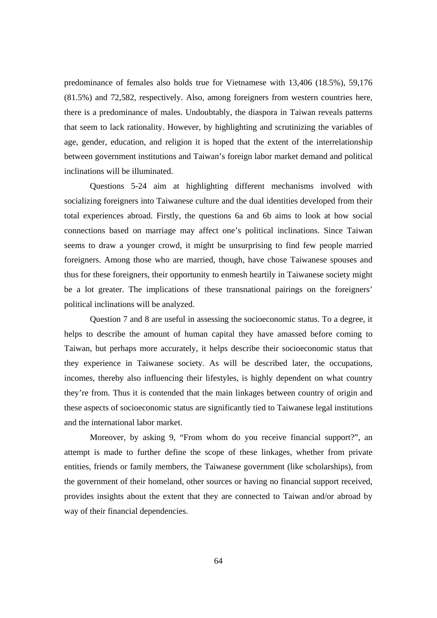predominance of females also holds true for Vietnamese with 13,406 (18.5%), 59,176 (81.5%) and 72,582, respectively. Also, among foreigners from western countries here, there is a predominance of males. Undoubtably, the diaspora in Taiwan reveals patterns that seem to lack rationality. However, by highlighting and scrutinizing the variables of age, gender, education, and religion it is hoped that the extent of the interrelationship between government institutions and Taiwan's foreign labor market demand and political inclinations will be illuminated.

Questions 5-24 aim at highlighting different mechanisms involved with socializing foreigners into Taiwanese culture and the dual identities developed from their total experiences abroad. Firstly, the questions 6a and 6b aims to look at how social connections based on marriage may affect one's political inclinations. Since Taiwan seems to draw a younger crowd, it might be unsurprising to find few people married foreigners. Among those who are married, though, have chose Taiwanese spouses and thus for these foreigners, their opportunity to enmesh heartily in Taiwanese society might be a lot greater. The implications of these transnational pairings on the foreigners' political inclinations will be analyzed.

Question 7 and 8 are useful in assessing the socioeconomic status. To a degree, it helps to describe the amount of human capital they have amassed before coming to Taiwan, but perhaps more accurately, it helps describe their socioeconomic status that they experience in Taiwanese society. As will be described later, the occupations, incomes, thereby also influencing their lifestyles, is highly dependent on what country they're from. Thus it is contended that the main linkages between country of origin and these aspects of socioeconomic status are significantly tied to Taiwanese legal institutions and the international labor market.

Moreover, by asking 9, "From whom do you receive financial support?", an attempt is made to further define the scope of these linkages, whether from private entities, friends or family members, the Taiwanese government (like scholarships), from the government of their homeland, other sources or having no financial support received, provides insights about the extent that they are connected to Taiwan and/or abroad by way of their financial dependencies.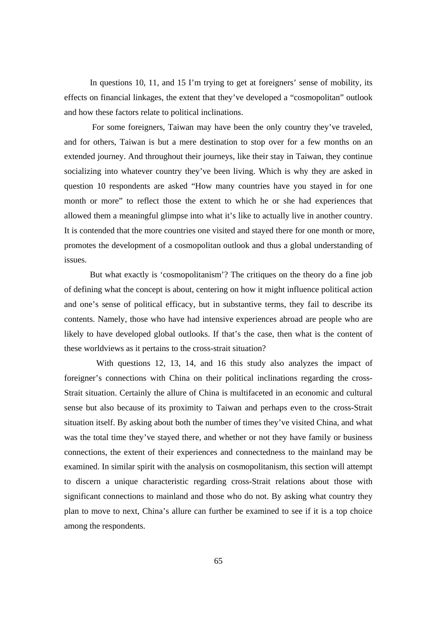In questions 10, 11, and 15 I'm trying to get at foreigners' sense of mobility, its effects on financial linkages, the extent that they've developed a "cosmopolitan" outlook and how these factors relate to political inclinations.

 For some foreigners, Taiwan may have been the only country they've traveled, and for others, Taiwan is but a mere destination to stop over for a few months on an extended journey. And throughout their journeys, like their stay in Taiwan, they continue socializing into whatever country they've been living. Which is why they are asked in question 10 respondents are asked "How many countries have you stayed in for one month or more" to reflect those the extent to which he or she had experiences that allowed them a meaningful glimpse into what it's like to actually live in another country. It is contended that the more countries one visited and stayed there for one month or more, promotes the development of a cosmopolitan outlook and thus a global understanding of issues.

But what exactly is 'cosmopolitanism'? The critiques on the theory do a fine job of defining what the concept is about, centering on how it might influence political action and one's sense of political efficacy, but in substantive terms, they fail to describe its contents. Namely, those who have had intensive experiences abroad are people who are likely to have developed global outlooks. If that's the case, then what is the content of these worldviews as it pertains to the cross-strait situation?

 With questions 12, 13, 14, and 16 this study also analyzes the impact of foreigner's connections with China on their political inclinations regarding the cross-Strait situation. Certainly the allure of China is multifaceted in an economic and cultural sense but also because of its proximity to Taiwan and perhaps even to the cross-Strait situation itself. By asking about both the number of times they've visited China, and what was the total time they've stayed there, and whether or not they have family or business connections, the extent of their experiences and connectedness to the mainland may be examined. In similar spirit with the analysis on cosmopolitanism, this section will attempt to discern a unique characteristic regarding cross-Strait relations about those with significant connections to mainland and those who do not. By asking what country they plan to move to next, China's allure can further be examined to see if it is a top choice among the respondents.